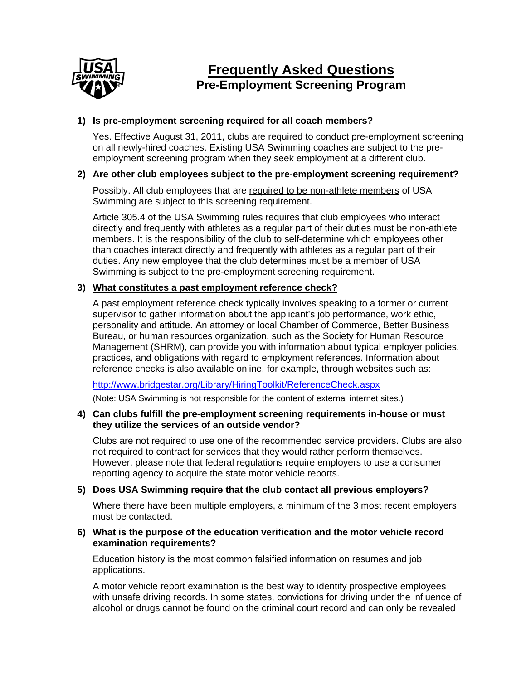

# **Frequently Asked Questions Pre-Employment Screening Program**

# **1) Is pre-employment screening required for all coach members?**

Yes. Effective August 31, 2011, clubs are required to conduct pre-employment screening on all newly-hired coaches. Existing USA Swimming coaches are subject to the preemployment screening program when they seek employment at a different club.

# **2) Are other club employees subject to the pre-employment screening requirement?**

Possibly. All club employees that are required to be non-athlete members of USA Swimming are subject to this screening requirement.

Article 305.4 of the USA Swimming rules requires that club employees who interact directly and frequently with athletes as a regular part of their duties must be non-athlete members. It is the responsibility of the club to self-determine which employees other than coaches interact directly and frequently with athletes as a regular part of their duties. Any new employee that the club determines must be a member of USA Swimming is subject to the pre-employment screening requirement.

# **3) What constitutes a past employment reference check?**

A past employment reference check typically involves speaking to a former or current supervisor to gather information about the applicant's job performance, work ethic, personality and attitude. An attorney or local Chamber of Commerce, Better Business Bureau, or human resources organization, such as the Society for Human Resource Management (SHRM), can provide you with information about typical employer policies, practices, and obligations with regard to employment references. Information about reference checks is also available online, for example, through websites such as:

http://www.bridgestar.org/Library/HiringToolkit/ReferenceCheck.aspx

(Note: USA Swimming is not responsible for the content of external internet sites.)

#### **4) Can clubs fulfill the pre-employment screening requirements in-house or must they utilize the services of an outside vendor?**

Clubs are not required to use one of the recommended service providers. Clubs are also not required to contract for services that they would rather perform themselves. However, please note that federal regulations require employers to use a consumer reporting agency to acquire the state motor vehicle reports.

### **5) Does USA Swimming require that the club contact all previous employers?**

Where there have been multiple employers, a minimum of the 3 most recent employers must be contacted.

#### **6) What is the purpose of the education verification and the motor vehicle record examination requirements?**

Education history is the most common falsified information on resumes and job applications.

A motor vehicle report examination is the best way to identify prospective employees with unsafe driving records. In some states, convictions for driving under the influence of alcohol or drugs cannot be found on the criminal court record and can only be revealed